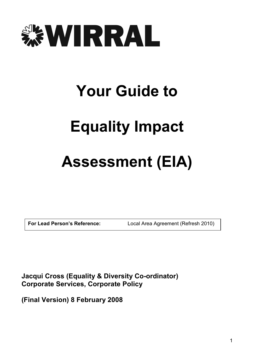

# Your Guide to

# Equality Impact

## Assessment (EIA)

For Lead Person's Reference: Local Area Agreement (Refresh 2010)

Jacqui Cross (Equality & Diversity Co-ordinator) Corporate Services, Corporate Policy

(Final Version) 8 February 2008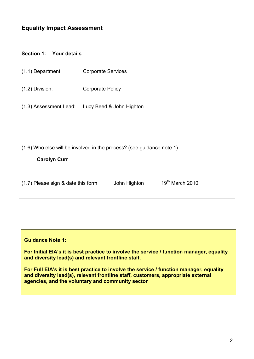## Equality Impact Assessment

| Section 1: Your details                                                                      |                                                 |  |  |  |  |  |
|----------------------------------------------------------------------------------------------|-------------------------------------------------|--|--|--|--|--|
| (1.1) Department:                                                                            | <b>Corporate Services</b>                       |  |  |  |  |  |
| $(1.2)$ Division:                                                                            | <b>Corporate Policy</b>                         |  |  |  |  |  |
|                                                                                              | (1.3) Assessment Lead: Lucy Beed & John Highton |  |  |  |  |  |
|                                                                                              |                                                 |  |  |  |  |  |
| (1.6) Who else will be involved in the process? (see guidance note 1)<br><b>Carolyn Curr</b> |                                                 |  |  |  |  |  |
| (1.7) Please sign & date this form                                                           | 19th March 2010<br>John Highton                 |  |  |  |  |  |

#### Guidance Note 1:

For Initial EIA's it is best practice to involve the service / function manager, equality and diversity lead(s) and relevant frontline staff.

For Full EIA's it is best practice to involve the service / function manager, equality and diversity lead(s), relevant frontline staff, customers, appropriate external agencies, and the voluntary and community sector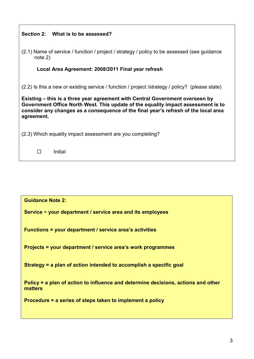| Section 2: What is to be assessed?                                                                                                                                                                                                                                      |  |  |  |  |
|-------------------------------------------------------------------------------------------------------------------------------------------------------------------------------------------------------------------------------------------------------------------------|--|--|--|--|
| (2.1) Name of service / function / project / strategy / policy to be assessed (see guidance<br>$note$ 2)                                                                                                                                                                |  |  |  |  |
| Local Area Agreement: 2008/2011 Final year refresh                                                                                                                                                                                                                      |  |  |  |  |
| $(2.2)$ is this a new or existing service / function / project /strategy / policy? (please state)                                                                                                                                                                       |  |  |  |  |
| Existing – this is a three year agreement with Central Government overseen by<br>Government Office North West. This update of the equality impact assessment is to<br>consider any changes as a consequence of the final year's refresh of the local area<br>agreement. |  |  |  |  |
| (2.3) Which equality impact assessment are you completing?                                                                                                                                                                                                              |  |  |  |  |
| Initial<br>П                                                                                                                                                                                                                                                            |  |  |  |  |

| <b>Guidance Note 2:</b>                                                                      |
|----------------------------------------------------------------------------------------------|
| Service = your department / service area and its employees                                   |
| <b>Functions = your department / service area's activities</b>                               |
| Projects = your department / service area's work programmes                                  |
| Strategy = a plan of action intended to accomplish a specific goal                           |
| Policy = a plan of action to influence and determine decisions, actions and other<br>matters |
| Procedure = a series of steps taken to implement a policy                                    |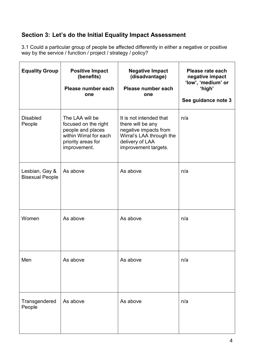## Section 3: Let's do the Initial Equality Impact Assessment

3.1 Could a particular group of people be affected differently in either a negative or positive way by the service / function / project / strategy / policy?

| <b>Equality Group</b>                    | <b>Positive Impact</b><br>(benefits)<br>Please number each<br>one                                                            | <b>Negative Impact</b><br>(disadvantage)<br>Please number each<br>one                                                                        | Please rate each<br>negative impact<br>'low', 'medium' or<br>'high'<br>See guidance note 3 |
|------------------------------------------|------------------------------------------------------------------------------------------------------------------------------|----------------------------------------------------------------------------------------------------------------------------------------------|--------------------------------------------------------------------------------------------|
| <b>Disabled</b><br>People                | The LAA will be<br>focused on the right<br>people and places<br>within Wirral for each<br>priority areas for<br>improvement. | It is not intended that<br>there will be any<br>negative impacts from<br>Wirral's LAA through the<br>delivery of LAA<br>improvement targets. | n/a                                                                                        |
| Lesbian, Gay &<br><b>Bisexual People</b> | As above                                                                                                                     | As above                                                                                                                                     | n/a                                                                                        |
| Women                                    | As above                                                                                                                     | As above                                                                                                                                     | n/a                                                                                        |
| Men                                      | As above                                                                                                                     | As above                                                                                                                                     | n/a                                                                                        |
| Transgendered<br>People                  | As above                                                                                                                     | As above                                                                                                                                     | n/a                                                                                        |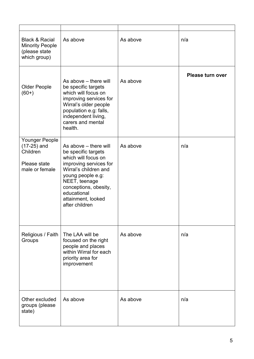| <b>Black &amp; Racial</b><br><b>Minority People</b><br>(please state<br>which group) | As above                                                                                                                                                                                                                                     | As above | n/a                     |
|--------------------------------------------------------------------------------------|----------------------------------------------------------------------------------------------------------------------------------------------------------------------------------------------------------------------------------------------|----------|-------------------------|
| <b>Older People</b><br>$(60+)$                                                       | As above – there will<br>be specific targets<br>which will focus on<br>improving services for<br>Wirral's older people<br>population e.g: falls,<br>independent living,<br>carers and mental<br>health.                                      | As above | <b>Please turn over</b> |
| Younger People<br>$(17-25)$ and<br>Children<br>Please state<br>male or female        | As above – there will<br>be specific targets<br>which will focus on<br>improving services for<br>Wirral's children and<br>young people e.g:<br>NEET, teenage<br>conceptions, obesity,<br>educational<br>attainment, looked<br>after children | As above | n/a                     |
| Religious / Faith<br>Groups                                                          | The LAA will be<br>focused on the right<br>people and places<br>within Wirral for each<br>priority area for<br>improvement                                                                                                                   | As above | n/a                     |
| Other excluded<br>groups (please<br>state)                                           | As above                                                                                                                                                                                                                                     | As above | n/a                     |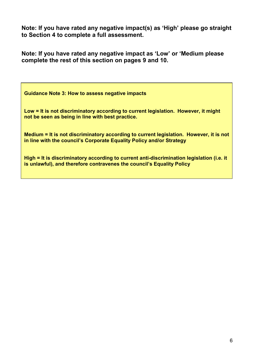Note: If you have rated any negative impact(s) as 'High' please go straight to Section 4 to complete a full assessment.

Note: If you have rated any negative impact as 'Low' or 'Medium please complete the rest of this section on pages 9 and 10.

Guidance Note 3: How to assess negative impacts

Low = It is not discriminatory according to current legislation. However, it might not be seen as being in line with best practice.

Medium = It is not discriminatory according to current legislation. However, it is not in line with the council's Corporate Equality Policy and/or Strategy

High = It is discriminatory according to current anti-discrimination legislation (i.e. it is unlawful), and therefore contravenes the council's Equality Policy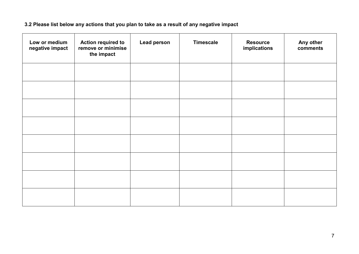### 3.2 Please list below any actions that you plan to take as a result of any negative impact

| Low or medium<br>negative impact | <b>Action required to</b><br>remove or minimise<br>the impact | <b>Lead person</b> | <b>Timescale</b> | <b>Resource</b><br>implications | Any other<br>comments |
|----------------------------------|---------------------------------------------------------------|--------------------|------------------|---------------------------------|-----------------------|
|                                  |                                                               |                    |                  |                                 |                       |
|                                  |                                                               |                    |                  |                                 |                       |
|                                  |                                                               |                    |                  |                                 |                       |
|                                  |                                                               |                    |                  |                                 |                       |
|                                  |                                                               |                    |                  |                                 |                       |
|                                  |                                                               |                    |                  |                                 |                       |
|                                  |                                                               |                    |                  |                                 |                       |
|                                  |                                                               |                    |                  |                                 |                       |